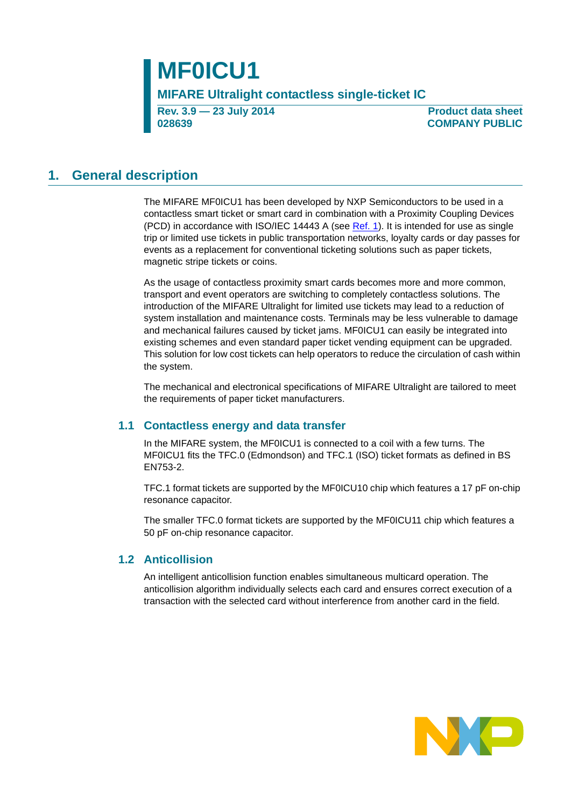# **MF0ICU1**

**MIFARE Ultralight contactless single-ticket IC**

**Rev. 3.9 — 23 July 2014 028639**

**Product data sheet COMPANY PUBLIC**

### <span id="page-0-0"></span>**1. General description**

The MIFARE MF0ICU1 has been developed by NXP Semiconductors to be used in a contactless smart ticket or smart card in combination with a Proximity Coupling Devices (PCD) in accordance with ISO/IEC 14443 A (see [Ref. 1](#page-24-0)). It is intended for use as single trip or limited use tickets in public transportation networks, loyalty cards or day passes for events as a replacement for conventional ticketing solutions such as paper tickets, magnetic stripe tickets or coins.

As the usage of contactless proximity smart cards becomes more and more common, transport and event operators are switching to completely contactless solutions. The introduction of the [MIFARE Ultralight](https://www.cardlogix.com/product/mifare-ultralight/) for limited use tickets may lead to a reduction of system installation and maintenance costs. Terminals may be less vulnerable to damage and mechanical failures caused by ticket jams. MF0ICU1 can easily be integrated into existing schemes and even standard paper ticket vending equipment can be upgraded. This solution for low cost tickets can help operators to reduce the circulation of cash within the system.

The mechanical and electronical specifications of MIFARE Ultralight are tailored to meet the requirements of paper ticket manufacturers.

#### <span id="page-0-1"></span>**1.1 Contactless energy and data transfer**

In the MIFARE system, the MF0ICU1 is connected to a coil with a few turns. The MF0ICU1 fits the TFC.0 (Edmondson) and TFC.1 (ISO) ticket formats as defined in BS EN753-2.

TFC.1 format tickets are supported by the MF0ICU10 chip which features a 17 pF on-chip resonance capacitor.

The smaller TFC.0 format tickets are supported by the MF0ICU11 chip which features a 50 pF on-chip resonance capacitor.

#### <span id="page-0-2"></span>**1.2 Anticollision**

An intelligent anticollision function enables simultaneous multicard operation. The anticollision algorithm individually selects each card and ensures correct execution of a transaction with the selected card without interference from another card in the field.

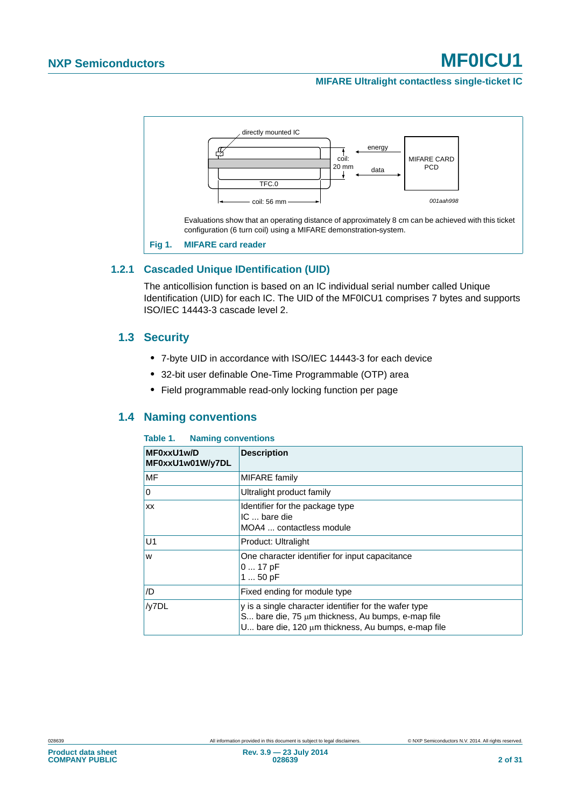#### **MIFARE Ultralight contactless single-ticket IC**



#### <span id="page-1-2"></span><span id="page-1-1"></span>**1.2.1 Cascaded Unique IDentification (UID)**

The anticollision function is based on an IC individual serial number called Unique Identification (UID) for each IC. The UID of the MF0ICU1 comprises 7 bytes and supports ISO/IEC 14443-3 cascade level 2.

#### <span id="page-1-3"></span>**1.3 Security**

- **•** 7-byte UID in accordance with ISO/IEC 14443-3 for each device
- **•** 32-bit user definable One-Time Programmable (OTP) area
- **•** Field programmable read-only locking function per page

#### <span id="page-1-4"></span>**1.4 Naming conventions**

#### <span id="page-1-0"></span>**Table 1. Naming conventions**

| MF0xxU1w/D<br>MF0xxU1w01W/y7DL | <b>Description</b>                                                                                                                                                         |
|--------------------------------|----------------------------------------------------------------------------------------------------------------------------------------------------------------------------|
| <b>MF</b>                      | MIFARE family                                                                                                                                                              |
| ٥l                             | Ultralight product family                                                                                                                                                  |
| <b>XX</b>                      | Identifier for the package type<br>IC  bare die<br>MOA4  contactless module                                                                                                |
| U <sub>1</sub>                 | Product: Ultralight                                                                                                                                                        |
| <b>W</b>                       | One character identifier for input capacitance<br>$017$ pF<br>1  50 pF                                                                                                     |
| /D                             | Fixed ending for module type                                                                                                                                               |
| /y7DL                          | y is a single character identifier for the wafer type<br>S bare die, 75 $\mu$ m thickness, Au bumps, e-map file<br>U bare die, 120 $\mu$ m thickness, Au bumps, e-map file |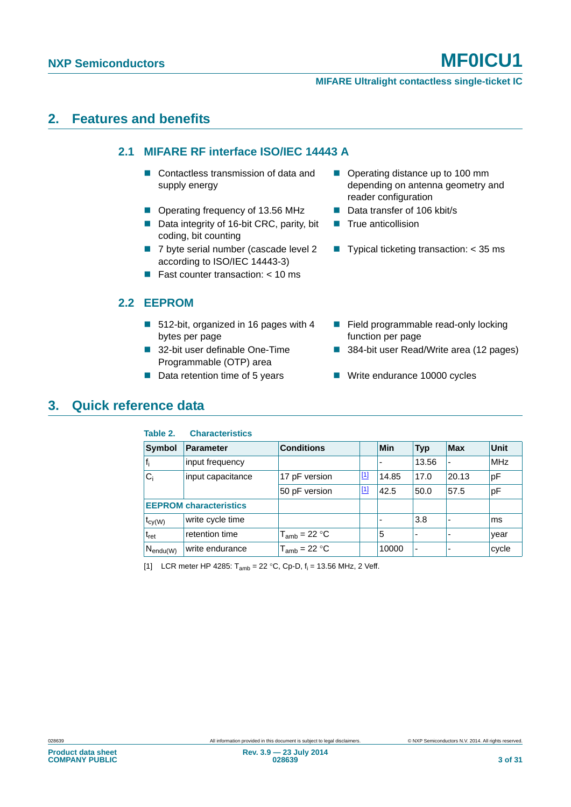## <span id="page-2-3"></span><span id="page-2-2"></span>**2. Features and benefits**

#### **2.1 MIFARE RF interface ISO/IEC 14443 A**

- Contactless transmission of data and supply energy
- Operating frequency of 13.56 MHz Data transfer of 106 kbit/s
- Data integrity of 16-bit CRC, parity, bit coding, bit counting
- 7 byte serial number (cascade level 2 according to ISO/IEC 14443-3)
- **Fast counter transaction:**  $<$  10 ms

### <span id="page-2-4"></span>**2.2 EEPROM**

- 512-bit, organized in 16 pages with 4 bytes per page
- 32-bit user definable One-Time Programmable (OTP) area
- 
- Operating distance up to 100 mm depending on antenna geometry and reader configuration
- 
- $\blacksquare$  True anticollision
- **Typical ticketing transaction:**  $<$  35 ms
- Field programmable read-only locking function per page
- 384-bit user Read/Write area (12 pages)
- Data retention time of 5 years **■** Write endurance 10000 cycles

### <span id="page-2-5"></span>**3. Quick reference data**

#### <span id="page-2-1"></span>**Table 2. Characteristics**

| <b>Symbol</b>        | Parameter                     | <b>Conditions</b> |             | Min            | <b>Typ</b>               | <b>Max</b>               | <b>Unit</b> |
|----------------------|-------------------------------|-------------------|-------------|----------------|--------------------------|--------------------------|-------------|
| t,                   | input frequency               |                   |             | $\blacksquare$ | 13.56                    | $\blacksquare$           | <b>MHz</b>  |
| $C_i$                | input capacitance             | 17 pF version     | $\boxed{1}$ | 14.85          | 17.0                     | 20.13                    | pF          |
|                      |                               | 50 pF version     | $[1]$       | 42.5           | 50.0                     | 57.5                     | pF          |
|                      | <b>EEPROM</b> characteristics |                   |             |                |                          |                          |             |
| $t_{cy(W)}$          | write cycle time              |                   |             |                | 3.8                      | $\overline{\phantom{a}}$ | lms         |
| $t_{\rm ret}$        | retention time                | $T_{amb}$ = 22 °C |             | 5              |                          | -                        | year        |
| $N_{\text{endu}(W)}$ | write endurance               | $T_{amb}$ = 22 °C |             | 10000          | $\overline{\phantom{a}}$ |                          | cycle       |

<span id="page-2-0"></span>[1] LCR meter HP 4285:  $T_{amb} = 22 °C$ , Cp-D,  $f_i = 13.56$  MHz, 2 Veff.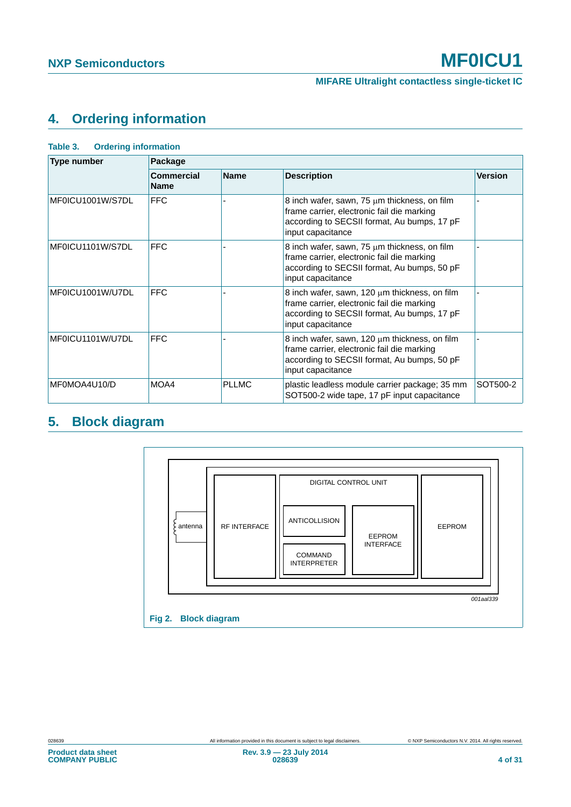# <span id="page-3-2"></span>**4. Ordering information**

| <b>Type number</b> | Package                                         |              |                                                                                                                                                                      |                |
|--------------------|-------------------------------------------------|--------------|----------------------------------------------------------------------------------------------------------------------------------------------------------------------|----------------|
|                    | <b>Commercial</b><br><b>Name</b><br><b>Name</b> |              | <b>Description</b>                                                                                                                                                   | <b>Version</b> |
| MF0ICU1001W/S7DL   | <b>FFC</b>                                      |              | 8 inch wafer, sawn, 75 µm thickness, on film<br>frame carrier, electronic fail die marking<br>according to SECSII format, Au bumps, 17 pF<br>input capacitance       |                |
| MF0ICU1101W/S7DL   | <b>FFC</b>                                      |              | 8 inch wafer, sawn, 75 µm thickness, on film<br>frame carrier, electronic fail die marking<br>according to SECSII format, Au bumps, 50 pF<br>input capacitance       |                |
| MF0ICU1001W/U7DL   | <b>FFC</b>                                      |              | 8 inch wafer, sawn, 120 $\mu$ m thickness, on film<br>frame carrier, electronic fail die marking<br>according to SECSII format, Au bumps, 17 pF<br>input capacitance |                |
| MF0ICU1101W/U7DL   | <b>FFC</b>                                      |              | 8 inch wafer, sawn, 120 $\mu$ m thickness, on film<br>frame carrier, electronic fail die marking<br>according to SECSII format, Au bumps, 50 pF<br>input capacitance |                |
| MF0MOA4U10/D       | MOA4                                            | <b>PLLMC</b> | plastic leadless module carrier package; 35 mm<br>SOT500-2 wide tape, 17 pF input capacitance                                                                        | SOT500-2       |

#### <span id="page-3-0"></span>**Table 3. Ordering information**

# <span id="page-3-3"></span>**5. Block diagram**

<span id="page-3-1"></span>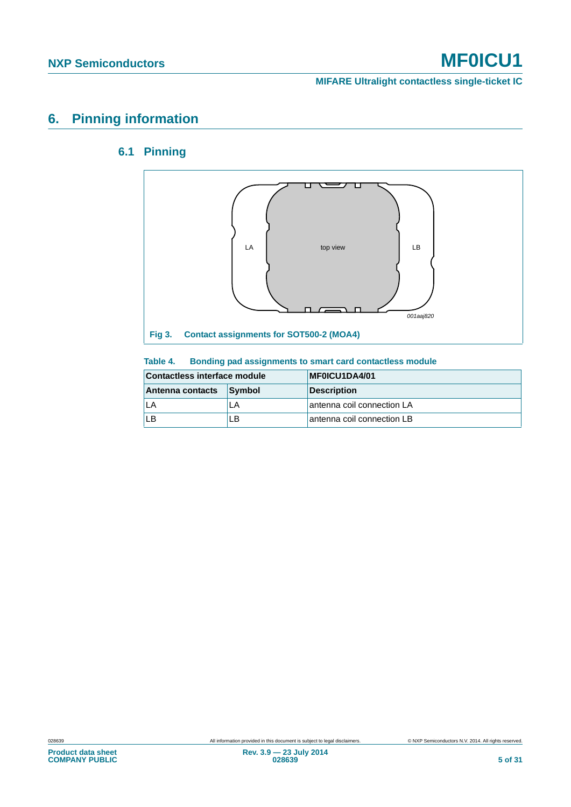**MIFARE Ultralight contactless single-ticket IC**

# <span id="page-4-3"></span><span id="page-4-2"></span>**6. Pinning information**

### **6.1 Pinning**



#### <span id="page-4-1"></span><span id="page-4-0"></span>**Table 4. Bonding pad assignments to smart card contactless module**

| Contactless interface module |        | MF0ICU1DA4/01              |
|------------------------------|--------|----------------------------|
| Antenna contacts             | Symbol | <b>Description</b>         |
|                              | LA     | antenna coil connection LA |
| ı B                          | l B    | antenna coil connection LB |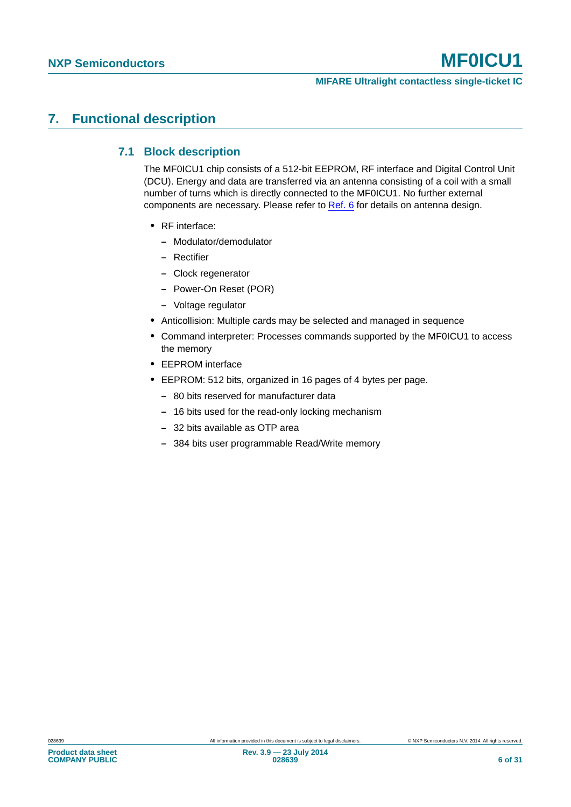## <span id="page-5-1"></span><span id="page-5-0"></span>**7. Functional description**

#### **7.1 Block description**

The MF0ICU1 chip consists of a 512-bit EEPROM, RF interface and Digital Control Unit (DCU). Energy and data are transferred via an antenna consisting of a coil with a small number of turns which is directly connected to the MF0ICU1. No further external components are necessary. Please refer to [Ref. 6](#page-24-1) for details on antenna design.

- **•** RF interface:
	- **–** Modulator/demodulator
	- **–** Rectifier
	- **–** Clock regenerator
	- **–** Power-On Reset (POR)
	- **–** Voltage regulator
- **•** Anticollision: Multiple cards may be selected and managed in sequence
- **•** Command interpreter: Processes commands supported by the MF0ICU1 to access the memory
- **•** EEPROM interface
- **•** EEPROM: 512 bits, organized in 16 pages of 4 bytes per page.
	- **–** 80 bits reserved for manufacturer data
	- **–** 16 bits used for the read-only locking mechanism
	- **–** 32 bits available as OTP area
	- **–** 384 bits user programmable Read/Write memory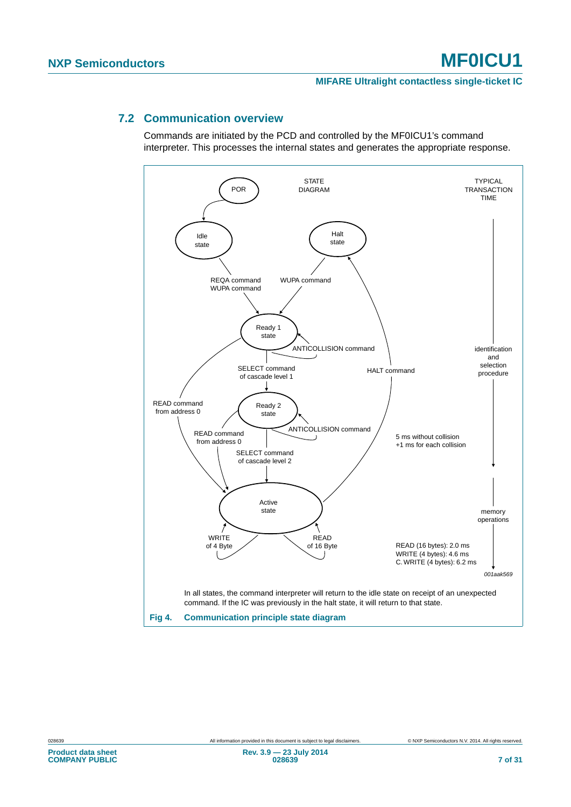#### <span id="page-6-1"></span>**7.2 Communication overview**

Commands are initiated by the PCD and controlled by the MF0ICU1's command interpreter. This processes the internal states and generates the appropriate response.

<span id="page-6-0"></span>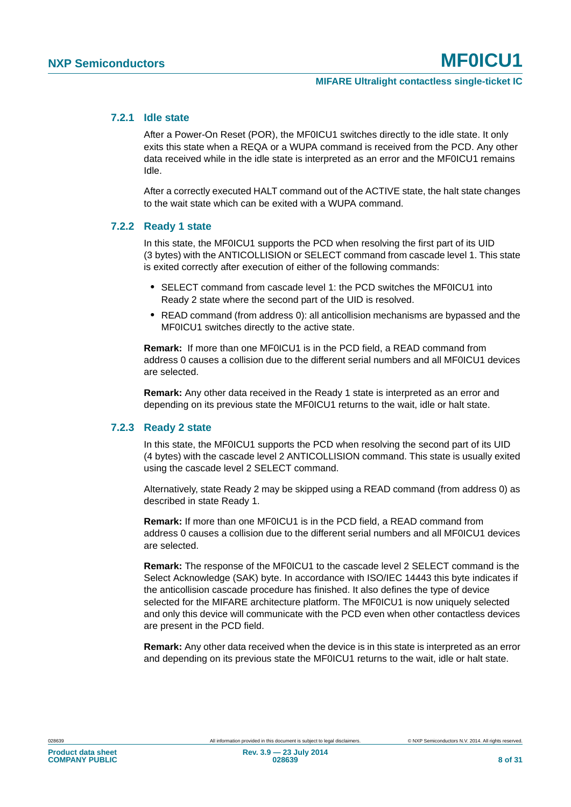#### <span id="page-7-0"></span>**7.2.1 Idle state**

After a Power-On Reset (POR), the MF0ICU1 switches directly to the idle state. It only exits this state when a REQA or a WUPA command is received from the PCD. Any other data received while in the idle state is interpreted as an error and the MF0ICU1 remains Idle.

After a correctly executed HALT command out of the ACTIVE state, the halt state changes to the wait state which can be exited with a WUPA command.

#### <span id="page-7-1"></span>**7.2.2 Ready 1 state**

In this state, the MF0ICU1 supports the PCD when resolving the first part of its UID (3 bytes) with the ANTICOLLISION or SELECT command from cascade level 1. This state is exited correctly after execution of either of the following commands:

- **•** SELECT command from cascade level 1: the PCD switches the MF0ICU1 into Ready 2 state where the second part of the UID is resolved.
- **•** READ command (from address 0): all anticollision mechanisms are bypassed and the MF0ICU1 switches directly to the active state.

**Remark:** If more than one MF0ICU1 is in the PCD field, a READ command from address 0 causes a collision due to the different serial numbers and all MF0ICU1 devices are selected.

**Remark:** Any other data received in the Ready 1 state is interpreted as an error and depending on its previous state the MF0ICU1 returns to the wait, idle or halt state.

#### <span id="page-7-2"></span>**7.2.3 Ready 2 state**

In this state, the MF0ICU1 supports the PCD when resolving the second part of its UID (4 bytes) with the cascade level 2 ANTICOLLISION command. This state is usually exited using the cascade level 2 SELECT command.

Alternatively, state Ready 2 may be skipped using a READ command (from address 0) as described in state Ready 1.

**Remark:** If more than one MF0ICU1 is in the PCD field, a READ command from address 0 causes a collision due to the different serial numbers and all MF0ICU1 devices are selected.

**Remark:** The response of the MF0ICU1 to the cascade level 2 SELECT command is the Select Acknowledge (SAK) byte. In accordance with ISO/IEC 14443 this byte indicates if the anticollision cascade procedure has finished. It also defines the type of device selected for the MIFARE architecture platform. The MF0ICU1 is now uniquely selected and only this device will communicate with the PCD even when other contactless devices are present in the PCD field.

**Remark:** Any other data received when the device is in this state is interpreted as an error and depending on its previous state the MF0ICU1 returns to the wait, idle or halt state.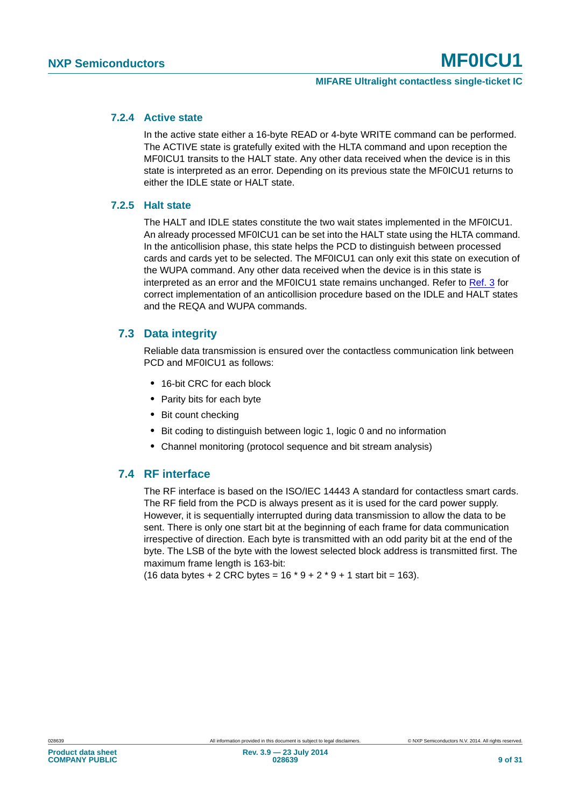#### <span id="page-8-0"></span>**7.2.4 Active state**

In the active state either a 16-byte READ or 4-byte WRITE command can be performed. The ACTIVE state is gratefully exited with the HLTA command and upon reception the MF0ICU1 transits to the HALT state. Any other data received when the device is in this state is interpreted as an error. Depending on its previous state the MF0ICU1 returns to either the IDLE state or HALT state.

#### <span id="page-8-1"></span>**7.2.5 Halt state**

The HALT and IDLE states constitute the two wait states implemented in the MF0ICU1. An already processed MF0ICU1 can be set into the HALT state using the HLTA command. In the anticollision phase, this state helps the PCD to distinguish between processed cards and cards yet to be selected. The MF0ICU1 can only exit this state on execution of the WUPA command. Any other data received when the device is in this state is interpreted as an error and the MF0ICU1 state remains unchanged. Refer to [Ref. 3](#page-24-2) for correct implementation of an anticollision procedure based on the IDLE and HALT states and the REQA and WUPA commands.

#### <span id="page-8-2"></span>**7.3 Data integrity**

Reliable data transmission is ensured over the contactless communication link between PCD and MF0ICU1 as follows:

- **•** 16-bit CRC for each block
- **•** Parity bits for each byte
- **•** Bit count checking
- **•** Bit coding to distinguish between logic 1, logic 0 and no information
- **•** Channel monitoring (protocol sequence and bit stream analysis)

### <span id="page-8-3"></span>**7.4 RF interface**

The RF interface is based on the ISO/IEC 14443 A standard for contactless smart cards. The RF field from the PCD is always present as it is used for the card power supply. However, it is sequentially interrupted during data transmission to allow the data to be sent. There is only one start bit at the beginning of each frame for data communication irrespective of direction. Each byte is transmitted with an odd parity bit at the end of the byte. The LSB of the byte with the lowest selected block address is transmitted first. The maximum frame length is 163-bit:

(16 data bytes + 2 CRC bytes =  $16 * 9 + 2 * 9 + 1$  start bit = 163).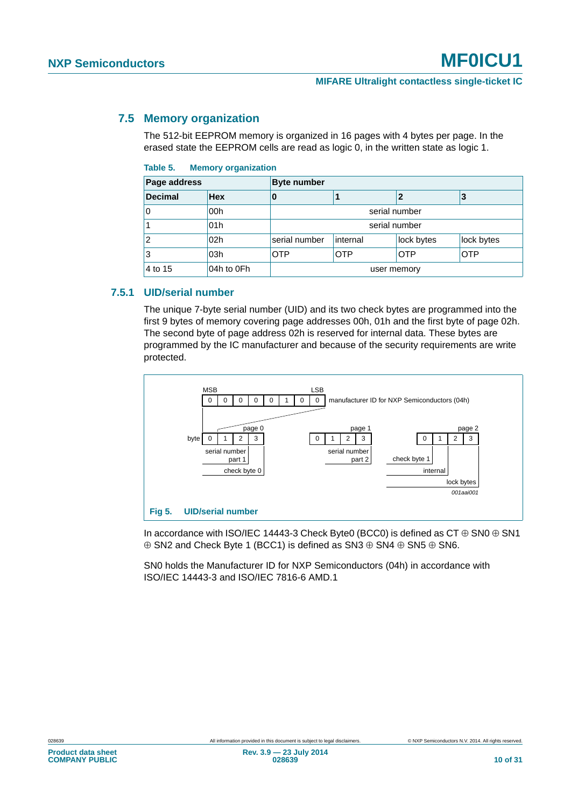#### <span id="page-9-2"></span>**7.5 Memory organization**

The 512-bit EEPROM memory is organized in 16 pages with 4 bytes per page. In the erased state the EEPROM cells are read as logic 0, in the written state as logic 1.

<span id="page-9-0"></span>

| Table 5. | <b>Memory organization</b> |
|----------|----------------------------|
|          |                            |

| Page address   |                 | <b>Byte number</b>                            |               |            |            |  |
|----------------|-----------------|-----------------------------------------------|---------------|------------|------------|--|
| <b>Decimal</b> | <b>Hex</b>      | U                                             |               |            | 3          |  |
|                | 00h             | serial number                                 |               |            |            |  |
|                | 01h             |                                               | serial number |            |            |  |
|                | 02 <sub>h</sub> | serial number                                 | internal      | lock bytes | lock bytes |  |
| 3              | 03h             | <b>OTP</b><br><b>OTP</b><br><b>OTP</b><br>OTP |               |            |            |  |
| 4 to 15        | 04h to 0Fh      | user memory                                   |               |            |            |  |

#### <span id="page-9-3"></span>**7.5.1 UID/serial number**

The unique 7-byte serial number (UID) and its two check bytes are programmed into the first 9 bytes of memory covering page addresses 00h, 01h and the first byte of page 02h. The second byte of page address 02h is reserved for internal data. These bytes are programmed by the IC manufacturer and because of the security requirements are write protected.



<span id="page-9-1"></span>In accordance with ISO/IEC 14443-3 Check Byte0 (BCC0) is defined as  $CT \oplus SNO \oplus SNI$  $\oplus$  SN2 and Check Byte 1 (BCC1) is defined as SN3  $\oplus$  SN4  $\oplus$  SN5  $\oplus$  SN6.

SN0 holds the Manufacturer ID for NXP Semiconductors (04h) in accordance with ISO/IEC 14443-3 and ISO/IEC 7816-6 AMD.1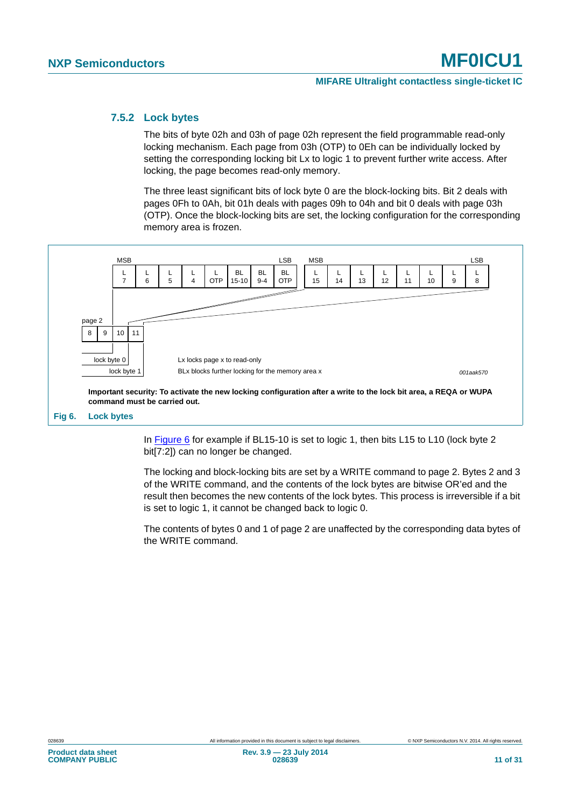#### <span id="page-10-1"></span>**7.5.2 Lock bytes**

The bits of byte 02h and 03h of page 02h represent the field programmable read-only locking mechanism. Each page from 03h (OTP) to 0Eh can be individually locked by setting the corresponding locking bit Lx to logic 1 to prevent further write access. After locking, the page becomes read-only memory.

The three least significant bits of lock byte 0 are the block-locking bits. Bit 2 deals with pages 0Fh to 0Ah, bit 01h deals with pages 09h to 04h and bit 0 deals with page 03h (OTP). Once the block-locking bits are set, the locking configuration for the corresponding memory area is frozen.



<span id="page-10-0"></span>In [Figure 6](#page-10-0) for example if BL15-10 is set to logic 1, then bits L15 to L10 (lock byte 2 bit[7:2]) can no longer be changed.

The locking and block-locking bits are set by a WRITE command to page 2. Bytes 2 and 3 of the WRITE command, and the contents of the lock bytes are bitwise OR'ed and the result then becomes the new contents of the lock bytes. This process is irreversible if a bit is set to logic 1, it cannot be changed back to logic 0.

The contents of bytes 0 and 1 of page 2 are unaffected by the corresponding data bytes of the WRITE command.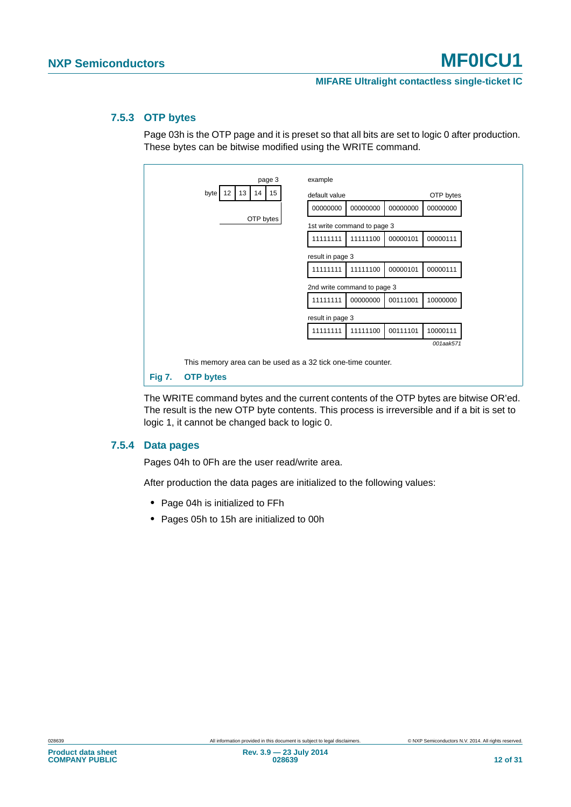#### <span id="page-11-1"></span>**7.5.3 OTP bytes**

Page 03h is the OTP page and it is preset so that all bits are set to logic 0 after production. These bytes can be bitwise modified using the WRITE command.

| page 3                       | example                                                     |                      |
|------------------------------|-------------------------------------------------------------|----------------------|
| 12<br>13<br>14<br>15<br>byte | default value                                               | OTP bytes            |
|                              | 00000000<br>00000000                                        | 00000000<br>00000000 |
| OTP bytes                    | 1st write command to page 3                                 |                      |
|                              | 11111111<br>11111100                                        | 00000101<br>00000111 |
|                              | result in page 3                                            |                      |
|                              | 11111111<br>11111100                                        | 00000101<br>00000111 |
|                              | 2nd write command to page 3                                 |                      |
|                              | 11111111<br>00000000                                        | 00111001<br>10000000 |
|                              | result in page 3                                            |                      |
|                              | 11111111<br>11111100                                        | 10000111<br>00111101 |
|                              |                                                             | 001aak571            |
|                              | This memory area can be used as a 32 tick one-time counter. |                      |
| Fig 7.<br><b>OTP bytes</b>   |                                                             |                      |

<span id="page-11-0"></span>The WRITE command bytes and the current contents of the OTP bytes are bitwise OR'ed. The result is the new OTP byte contents. This process is irreversible and if a bit is set to logic 1, it cannot be changed back to logic 0.

#### <span id="page-11-2"></span>**7.5.4 Data pages**

Pages 04h to 0Fh are the user read/write area.

After production the data pages are initialized to the following values:

- **•** Page 04h is initialized to FFh
- **•** Pages 05h to 15h are initialized to 00h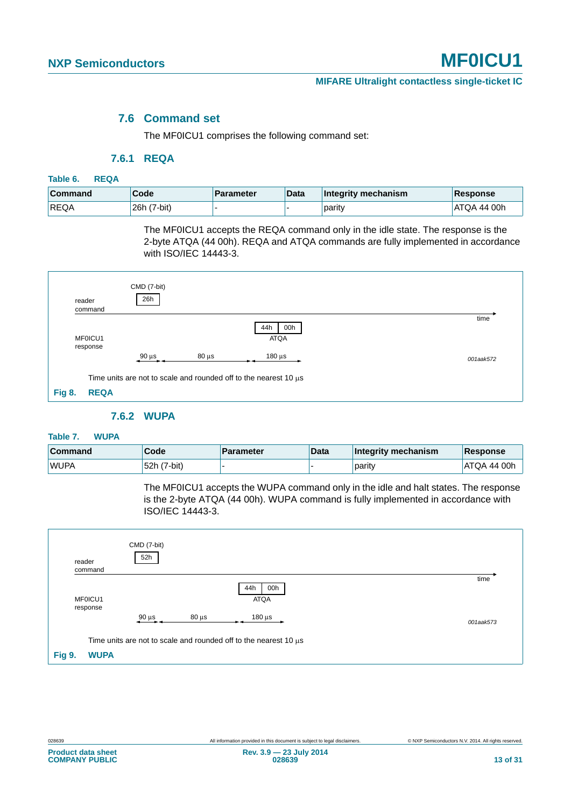#### **7.6 Command set**

The MF0ICU1 comprises the following command set:

#### **7.6.1 REQA**

#### <span id="page-12-5"></span><span id="page-12-4"></span><span id="page-12-0"></span>**Table 6. REQA**

| <b>Command</b> | Code        | <b>Parameter</b> | <b>Data</b> | Integrity mechanism | Response    |
|----------------|-------------|------------------|-------------|---------------------|-------------|
| <b>REQA</b>    | 26h (7-bit) |                  |             | parity              | ATQA 44 00h |

The MF0ICU1 accepts the REQA command only in the idle state. The response is the 2-byte ATQA (44 00h). REQA and ATQA commands are fully implemented in accordance with ISO/IEC 14443-3.

| reader        | command             | CMD (7-bit)<br>26h |            |                                                                       |           |
|---------------|---------------------|--------------------|------------|-----------------------------------------------------------------------|-----------|
|               | MF0ICU1<br>response |                    |            | 00h<br>44h<br><b>ATQA</b>                                             | time      |
|               |                     | $90 \mu s$         | $80 \mu s$ | $180 \mu s$                                                           | 001aak572 |
|               |                     |                    |            | Time units are not to scale and rounded off to the nearest 10 $\mu$ s |           |
| <b>Fig 8.</b> | <b>REQA</b>         |                    |            |                                                                       |           |

#### **7.6.2 WUPA**

#### <span id="page-12-6"></span><span id="page-12-2"></span><span id="page-12-1"></span>**Table 7. WUPA**

| <b>Command</b> | Code        | <b>Parameter</b> | Data | Integrity mechanism | Response           |
|----------------|-------------|------------------|------|---------------------|--------------------|
| <b>WUPA</b>    | 52h (7-bit) |                  |      | parity              | <b>ATQA 44 00h</b> |

The MF0ICU1 accepts the WUPA command only in the idle and halt states. The response is the 2-byte ATQA (44 00h). WUPA command is fully implemented in accordance with ISO/IEC 14443-3.

<span id="page-12-3"></span>

|               | reader<br>command   | CMD (7-bit)<br>52h |            |                                                                       |           |
|---------------|---------------------|--------------------|------------|-----------------------------------------------------------------------|-----------|
|               | MF0ICU1<br>response |                    |            | 44h<br>00h<br><b>ATQA</b>                                             | time      |
|               |                     | $90 \mu s$         | $80 \mu s$ | $180 \,\mathrm{\mu s}$                                                | 001aak573 |
|               |                     |                    |            | Time units are not to scale and rounded off to the nearest 10 $\mu$ s |           |
| <b>Fig 9.</b> | <b>WUPA</b>         |                    |            |                                                                       |           |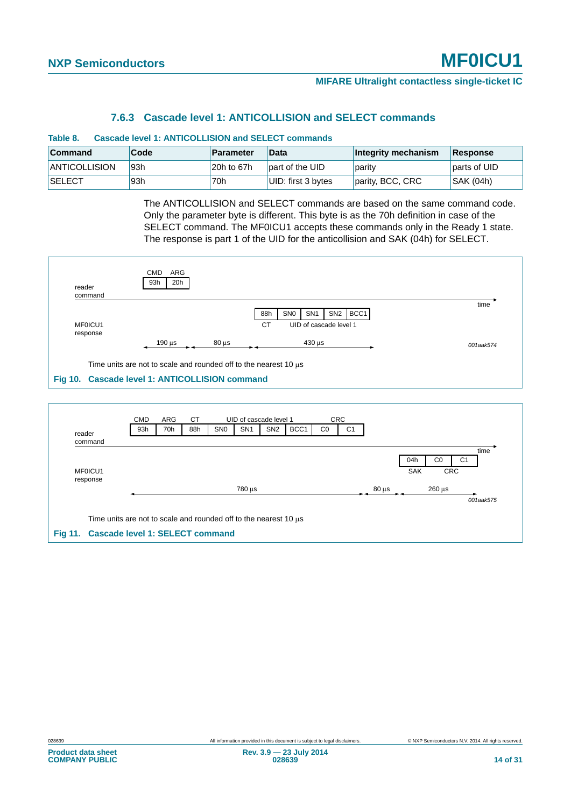#### **7.6.3 Cascade level 1: ANTICOLLISION and SELECT commands**

<span id="page-13-3"></span><span id="page-13-0"></span>

| Cascade level 1: ANTICOLLISION and SELECT commands<br>Table 8.                        |     |            |                    |                  |              |  |  |
|---------------------------------------------------------------------------------------|-----|------------|--------------------|------------------|--------------|--|--|
| Code<br><b>Command</b><br>Parameter<br>Integrity mechanism<br><b>Data</b><br>Response |     |            |                    |                  |              |  |  |
| <b>ANTICOLLISION</b>                                                                  | 93h | 20h to 67h | part of the UID    | parity           | parts of UID |  |  |
| <b>SELECT</b>                                                                         | 93h | 70h        | UID: first 3 bytes | parity, BCC, CRC | SAK (04h)    |  |  |

The ANTICOLLISION and SELECT commands are based on the same command code. Only the parameter byte is different. This byte is as the 70h definition in case of the SELECT command. The MF0ICU1 accepts these commands only in the Ready 1 state. The response is part 1 of the UID for the anticollision and SAK (04h) for SELECT.

| reader<br>command                              | ARG<br><b>CMD</b><br>20h<br>93h |                        |                                                                       |           |
|------------------------------------------------|---------------------------------|------------------------|-----------------------------------------------------------------------|-----------|
|                                                |                                 |                        | BCC1<br>SN <sub>1</sub><br>SN <sub>2</sub><br>SN <sub>0</sub><br>88h  | time      |
| MF0ICU1                                        |                                 |                        | <b>CT</b><br>UID of cascade level 1                                   |           |
| response                                       |                                 |                        |                                                                       |           |
|                                                | $190 \mu s$                     | $80 \mu s$             | $430 \mu s$                                                           | 001aak574 |
|                                                |                                 |                        | Time units are not to scale and rounded off to the nearest 10 $\mu$ s |           |
| Fig 10. Cascade level 1: ANTICOLLISION command |                                 |                        |                                                                       |           |
|                                                |                                 |                        |                                                                       |           |
|                                                |                                 |                        |                                                                       |           |
|                                                | ARG<br><b>CMD</b>               | <b>CT</b>              | <b>CRC</b><br>UID of cascade level 1                                  |           |
| reader                                         | 93h<br>70h                      | SN <sub>0</sub><br>88h | BCC1<br>SN <sub>1</sub><br>SN <sub>2</sub><br>CO<br>C <sub>1</sub>    |           |
| المراجع والمستحدث والمراج                      |                                 |                        |                                                                       |           |

<span id="page-13-2"></span><span id="page-13-1"></span>

| reader                                                                | 93h | 70h | 88h | SN <sub>0</sub> | SN <sub>1</sub> | SN <sub>2</sub> | BCC <sub>1</sub> | C <sub>0</sub> | C1 |            |                   |                           |                        |
|-----------------------------------------------------------------------|-----|-----|-----|-----------------|-----------------|-----------------|------------------|----------------|----|------------|-------------------|---------------------------|------------------------|
| command                                                               |     |     |     |                 |                 |                 |                  |                |    |            |                   |                           |                        |
| MF0ICU1<br>response                                                   |     |     |     |                 |                 |                 |                  |                |    |            | 04h<br><b>SAK</b> | $_{\rm CO}$<br><b>CRC</b> | time<br>C <sub>1</sub> |
|                                                                       |     |     |     |                 | 780 µs          |                 |                  |                |    | $80 \mu s$ |                   | $260 \,\mathrm{\upmu s}$  |                        |
|                                                                       |     |     |     |                 |                 |                 |                  |                |    |            |                   |                           | 001aak575              |
| Time units are not to scale and rounded off to the nearest 10 $\mu$ s |     |     |     |                 |                 |                 |                  |                |    |            |                   |                           |                        |
| <b>Cascade level 1: SELECT command</b><br><b>Fig 11.</b>              |     |     |     |                 |                 |                 |                  |                |    |            |                   |                           |                        |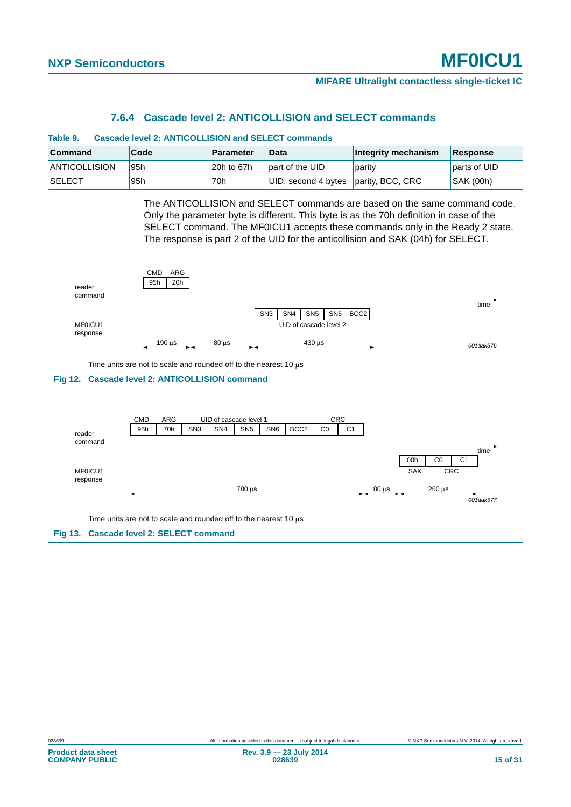#### **7.6.4 Cascade level 2: ANTICOLLISION and SELECT commands**

<span id="page-14-3"></span><span id="page-14-0"></span>

| <b>Cascade level 2: ANTICOLLISION and SELECT commands</b><br>Table 9. |      |            |                     |                     |              |  |  |  |  |
|-----------------------------------------------------------------------|------|------------|---------------------|---------------------|--------------|--|--|--|--|
| <b>Command</b>                                                        | Code | Parameter  | <b>Data</b>         | Integrity mechanism | Response     |  |  |  |  |
| <b>ANTICOLLISION</b>                                                  | 95h  | 20h to 67h | part of the UID     | parity              | parts of UID |  |  |  |  |
| <b>SELECT</b>                                                         | 95h  | 70h        | UID: second 4 bytes | parity, BCC, CRC    | SAK (00h)    |  |  |  |  |

The ANTICOLLISION and SELECT commands are based on the same command code. Only the parameter byte is different. This byte is as the 70h definition in case of the SELECT command. The MF0ICU1 accepts these commands only in the Ready 2 state. The response is part 2 of the UID for the anticollision and SAK (04h) for SELECT.

| reader<br>command                              | <b>CMD</b><br><b>ARG</b><br>20h<br>95h |                                    |                                                                       |                                                                                  |           |
|------------------------------------------------|----------------------------------------|------------------------------------|-----------------------------------------------------------------------|----------------------------------------------------------------------------------|-----------|
| MF0ICU1                                        |                                        |                                    | SN <sub>3</sub><br>SN <sub>4</sub>                                    | BCC <sub>2</sub><br>SN <sub>5</sub><br>SN <sub>6</sub><br>UID of cascade level 2 | time      |
| response                                       | $190 \mu s$                            | $80 \mu s$                         |                                                                       | $430 \,\mathrm{\upmu s}$                                                         | 001aak576 |
| Fig 12. Cascade level 2: ANTICOLLISION command |                                        |                                    | Time units are not to scale and rounded off to the nearest 10 $\mu$ s |                                                                                  |           |
|                                                |                                        |                                    |                                                                       |                                                                                  |           |
|                                                | <b>ARG</b><br><b>CMD</b>               | UID of cascade level 1             |                                                                       | <b>CRC</b>                                                                       |           |
| reader                                         | 95h<br>70h                             | SN <sub>3</sub><br>SN <sub>4</sub> | SN <sub>6</sub><br>SN <sub>5</sub>                                    | BCC <sub>2</sub><br>CO<br>C <sub>1</sub>                                         |           |

<span id="page-14-2"></span><span id="page-14-1"></span>

| reader                                  |                                                                       | . | . | ---    | --- | ---- | -- | $\cdot$ $\cdot$ |            |            |                          |                |           |
|-----------------------------------------|-----------------------------------------------------------------------|---|---|--------|-----|------|----|-----------------|------------|------------|--------------------------|----------------|-----------|
| command                                 |                                                                       |   |   |        |     |      |    |                 |            |            |                          |                |           |
|                                         |                                                                       |   |   |        |     |      |    |                 |            |            |                          |                | time      |
|                                         |                                                                       |   |   |        |     |      |    |                 |            | 00h        | C <sub>0</sub>           | C <sub>1</sub> |           |
| MF0ICU1                                 |                                                                       |   |   |        |     |      |    |                 |            | <b>SAK</b> |                          | <b>CRC</b>     |           |
| response                                |                                                                       |   |   |        |     |      |    |                 |            |            |                          |                |           |
|                                         |                                                                       |   |   | 780 µs |     |      |    |                 | $80 \mu s$ |            | $260 \,\mathrm{\upmu s}$ |                |           |
|                                         |                                                                       |   |   |        |     |      |    |                 |            |            |                          |                | 001aak577 |
|                                         |                                                                       |   |   |        |     |      |    |                 |            |            |                          |                |           |
|                                         | Time units are not to scale and rounded off to the nearest 10 $\mu$ s |   |   |        |     |      |    |                 |            |            |                          |                |           |
| Fig 13. Cascade level 2: SELECT command |                                                                       |   |   |        |     |      |    |                 |            |            |                          |                |           |
|                                         |                                                                       |   |   |        |     |      |    |                 |            |            |                          |                |           |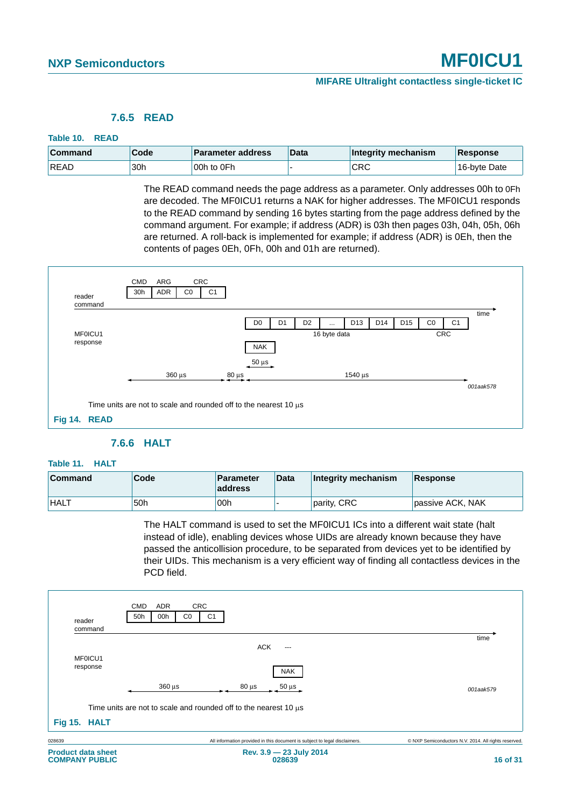#### **7.6.5 READ**

#### <span id="page-15-4"></span><span id="page-15-0"></span>**Table 10. READ**

| <b>Command</b> | Code | <b>Parameter address</b> | ∣Data | Integrity mechanism | Response     |
|----------------|------|--------------------------|-------|---------------------|--------------|
| <b>READ</b>    | 30h  | 100h to 0Fh              |       | CRC                 | 16-byte Date |

The READ command needs the page address as a parameter. Only addresses 00h to 0Fh are decoded. The MF0ICU1 returns a NAK for higher addresses. The MF0ICU1 responds to the READ command by sending 16 bytes starting from the page address defined by the command argument. For example; if address (ADR) is 03h then pages 03h, 04h, 05h, 06h are returned. A roll-back is implemented for example; if address (ADR) is 0Eh, then the contents of pages 0Eh, 0Fh, 00h and 01h are returned).



#### **7.6.6 HALT**

#### <span id="page-15-5"></span><span id="page-15-2"></span><span id="page-15-1"></span>**Table 11. HALT**

| <b>Command</b> | Code | <b>Parameter</b><br>address | Data | Integrity mechanism | Response         |
|----------------|------|-----------------------------|------|---------------------|------------------|
| <b>HALT</b>    | 50h  | 00h                         |      | parity, CRC         | passive ACK, NAK |

The HALT command is used to set the MF0ICU1 ICs into a different wait state (halt instead of idle), enabling devices whose UIDs are already known because they have passed the anticollision procedure, to be separated from devices yet to be identified by their UIDs. This mechanism is a very efficient way of finding all contactless devices in the PCD field.

<span id="page-15-3"></span>

| <b>CRC</b><br><b>CMD</b><br>ADR<br>50h<br>00h<br>C <sub>0</sub><br>reader<br>command | C <sub>1</sub>                                                             |                                                      |  |  |  |  |  |  |
|--------------------------------------------------------------------------------------|----------------------------------------------------------------------------|------------------------------------------------------|--|--|--|--|--|--|
|                                                                                      |                                                                            | time                                                 |  |  |  |  |  |  |
|                                                                                      | ACK<br>$---$                                                               |                                                      |  |  |  |  |  |  |
| MF0ICU1                                                                              |                                                                            |                                                      |  |  |  |  |  |  |
| response                                                                             | <b>NAK</b>                                                                 |                                                      |  |  |  |  |  |  |
| $360 \,\mu s$                                                                        | $80 \mu s$<br>$50 \,\mu s$                                                 | 001aak579                                            |  |  |  |  |  |  |
|                                                                                      | Time units are not to scale and rounded off to the nearest 10 $\mu$ s      |                                                      |  |  |  |  |  |  |
| Fig 15. HALT                                                                         |                                                                            |                                                      |  |  |  |  |  |  |
| 028639                                                                               | All information provided in this document is subject to legal disclaimers. | © NXP Semiconductors N.V. 2014. All rights reserved. |  |  |  |  |  |  |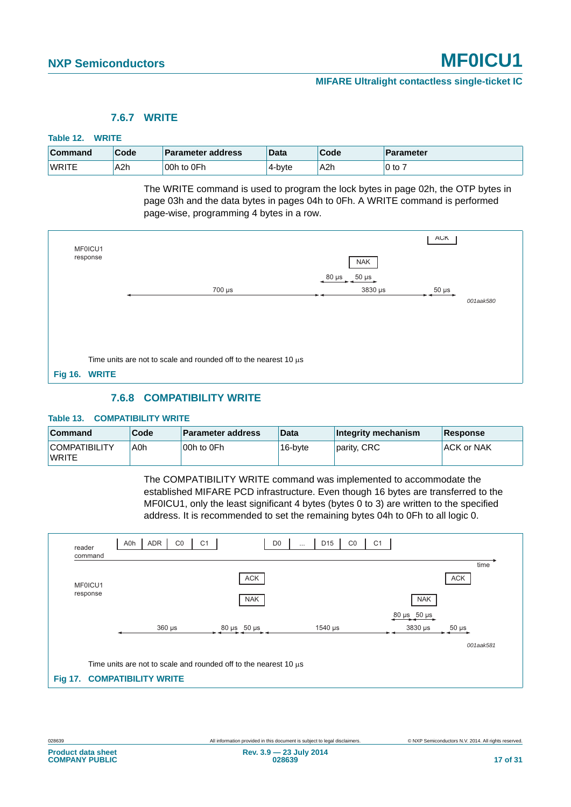#### **7.6.7 WRITE**

#### <span id="page-16-4"></span><span id="page-16-0"></span>**Table 12. WRITE**

| <b>Command</b> | Code             | <b>Parameter address</b> | Data   | Code | <b>Parameter</b> |
|----------------|------------------|--------------------------|--------|------|------------------|
| <b>WRITE</b>   | A <sub>2</sub> h | 00h to 0Fh               | 4-byte | A2h  | $10$ to .        |

The WRITE command is used to program the lock bytes in page 02h, the OTP bytes in page 03h and the data bytes in pages 04h to 0Fh. A WRITE command is performed page-wise, programming 4 bytes in a row.

| MF0ICU1 |                                                                       |                     | <b>ACK</b> |           |
|---------|-----------------------------------------------------------------------|---------------------|------------|-----------|
|         | response                                                              | <b>NAK</b>          |            |           |
|         |                                                                       | 80 μs<br>$50 \mu s$ |            |           |
|         | $700 \mu s$                                                           | 3830 µs             | $50 \mu s$ |           |
|         |                                                                       |                     |            | 001aak580 |
|         |                                                                       |                     |            |           |
|         |                                                                       |                     |            |           |
|         |                                                                       |                     |            |           |
|         |                                                                       |                     |            |           |
|         | Time units are not to scale and rounded off to the nearest 10 $\mu$ s |                     |            |           |
|         |                                                                       |                     |            |           |
|         | Fig 16. WRITE                                                         |                     |            |           |
|         |                                                                       |                     |            |           |

#### **7.6.8 COMPATIBILITY WRITE**

#### <span id="page-16-5"></span><span id="page-16-2"></span><span id="page-16-1"></span>**Table 13. COMPATIBILITY WRITE**

| Command                              | Code | <b>Parameter address</b> | <b>Data</b> | Integrity mechanism | <b>Response</b>   |
|--------------------------------------|------|--------------------------|-------------|---------------------|-------------------|
| <b>COMPATIBILITY</b><br><b>WRITE</b> | A0h  | 00h to 0Fh               | 16-byte     | parity, CRC         | <b>ACK or NAK</b> |

The COMPATIBILITY WRITE command was implemented to accommodate the established MIFARE PCD infrastructure. Even though 16 bytes are transferred to the MF0ICU1, only the least significant 4 bytes (bytes 0 to 3) are written to the specified address. It is recommended to set the remaining bytes 04h to 0Fh to all logic 0.

<span id="page-16-3"></span>

| reader<br>command | ADR<br>A0h<br>CO                                                      | D <sub>0</sub><br>C <sub>1</sub> | D <sub>15</sub><br>C <sub>1</sub><br>CO<br>$\cdots$ |                            |                    |  |  |  |  |  |
|-------------------|-----------------------------------------------------------------------|----------------------------------|-----------------------------------------------------|----------------------------|--------------------|--|--|--|--|--|
| MF0ICU1           |                                                                       | ACK                              |                                                     |                            | time<br><b>ACK</b> |  |  |  |  |  |
| response          |                                                                       | <b>NAK</b>                       |                                                     | <b>NAK</b>                 |                    |  |  |  |  |  |
|                   |                                                                       |                                  |                                                     | $80 \,\mu s$ 50 $\mu s$    |                    |  |  |  |  |  |
|                   | $360 \,\mu s$                                                         | 80 µs 50 µs                      | $1540 \,\mathrm{\upmu s}$                           | $3830 \text{ }\mu\text{s}$ | $50 \mu s$         |  |  |  |  |  |
|                   |                                                                       |                                  |                                                     |                            | 001aak581          |  |  |  |  |  |
|                   | Time units are not to scale and rounded off to the nearest 10 $\mu$ s |                                  |                                                     |                            |                    |  |  |  |  |  |
| <b>Fig 17.</b>    | <b>COMPATIBILITY WRITE</b>                                            |                                  |                                                     |                            |                    |  |  |  |  |  |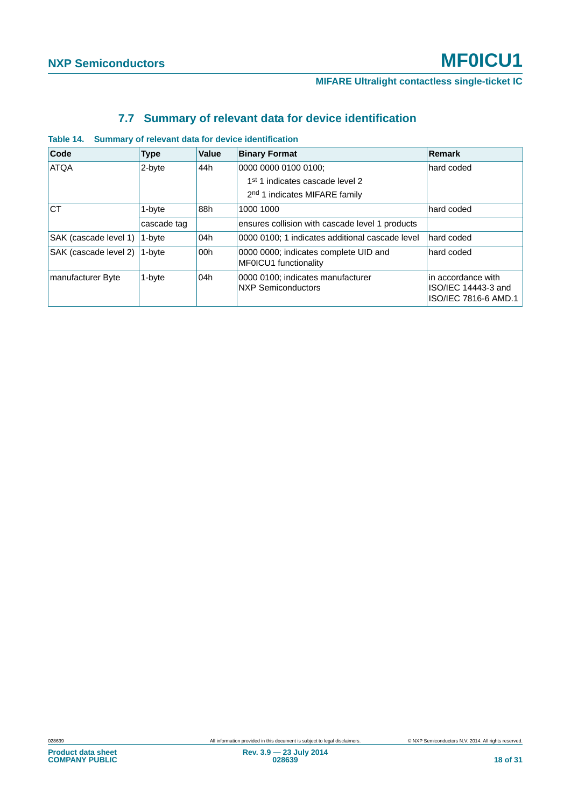# **7.7 Summary of relevant data for device identification**

| Code                  | <b>Type</b> | Value | <b>Binary Format</b>                                           | Remark                                                            |
|-----------------------|-------------|-------|----------------------------------------------------------------|-------------------------------------------------------------------|
| <b>ATQA</b>           | 2-byte      | 44h   | 0000 0000 0100 0100;                                           | hard coded                                                        |
|                       |             |       | 1 <sup>st</sup> 1 indicates cascade level 2                    |                                                                   |
|                       |             |       | 2 <sup>nd</sup> 1 indicates MIFARE family                      |                                                                   |
| <b>CT</b>             | 1-byte      | 88h   | 1000 1000                                                      | hard coded                                                        |
|                       | cascade tag |       | ensures collision with cascade level 1 products                |                                                                   |
| SAK (cascade level 1) | 1-byte      | 04h   | 0000 0100; 1 indicates additional cascade level                | hard coded                                                        |
| SAK (cascade level 2) | 1-byte      | 00h   | 0000 0000; indicates complete UID and<br>MF0ICU1 functionality | hard coded                                                        |
| manufacturer Byte     | 1-byte      | 04h   | 0000 0100; indicates manufacturer<br><b>NXP Semiconductors</b> | in accordance with<br>ISO/IEC 14443-3 and<br>ISO/IEC 7816-6 AMD.1 |

#### <span id="page-17-1"></span><span id="page-17-0"></span>**Table 14. Summary of relevant data for device identification**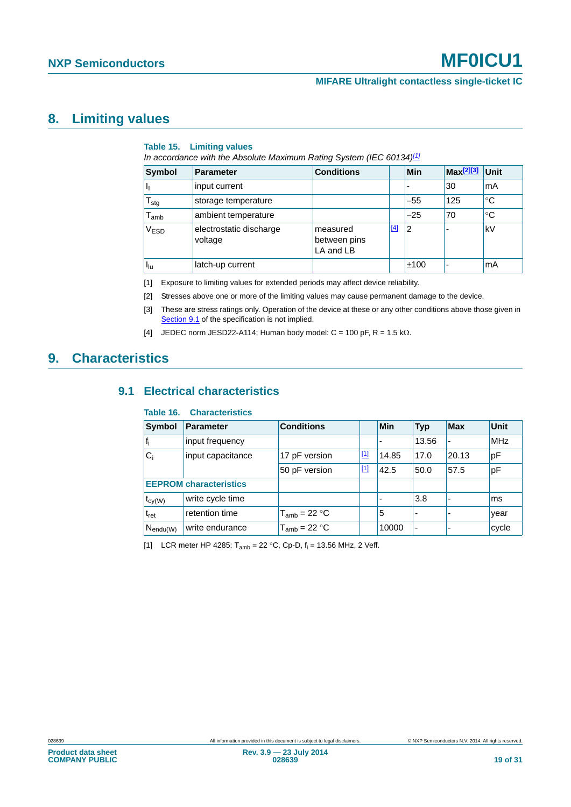### <span id="page-18-7"></span>**8. Limiting values**

#### <span id="page-18-5"></span>**Table 15. Limiting values**

*In accordance with the Absolute Maximum Rating System (IEC 60134)[\[1\]](#page-18-0)*

| <b>Symbol</b>               | <b>Parameter</b>                   | <b>Conditions</b>                     |       | <b>Min</b>     | Max <sup>[2][3]</sup> | Unit        |
|-----------------------------|------------------------------------|---------------------------------------|-------|----------------|-----------------------|-------------|
|                             | input current                      |                                       |       |                | 30                    | mA          |
| $\mathsf{T}_{\text{stg}}$   | storage temperature                |                                       |       | $-55$          | 125                   | °C          |
| $\mathsf{T}_{\mathsf{amb}}$ | ambient temperature                |                                       |       | $-25$          | 70                    | $^{\circ}C$ |
| V <sub>ESD</sub>            | electrostatic discharge<br>voltage | measured<br>between pins<br>LA and LB | $[4]$ | $\overline{2}$ |                       | kV          |
| Πu                          | latch-up current                   |                                       |       | ±100           | ۰                     | mA          |

<span id="page-18-0"></span>[1] Exposure to limiting values for extended periods may affect device reliability.

<span id="page-18-1"></span>[2] Stresses above one or more of the limiting values may cause permanent damage to the device.

<span id="page-18-2"></span>[3] These are stress ratings only. Operation of the device at these or any other conditions above those given in [Section 9.1](#page-18-4) of the specification is not implied.

<span id="page-18-3"></span>[4] JEDEC norm JESD22-A114; Human body model:  $C = 100$  pF,  $R = 1.5$  k $\Omega$ .

## <span id="page-18-8"></span><span id="page-18-4"></span>**9. Characteristics**

#### **9.1 Electrical characteristics**

#### <span id="page-18-6"></span>**Table 16. Characteristics**

| <b>Symbol</b>          | Parameter                     | <b>Conditions</b> |       | Min   | <b>Typ</b> | <b>Max</b>               | Unit       |
|------------------------|-------------------------------|-------------------|-------|-------|------------|--------------------------|------------|
|                        | input frequency               |                   |       |       | 13.56      | $\overline{\phantom{a}}$ | <b>MHz</b> |
| C,                     | input capacitance             | 17 pF version     | $[1]$ | 14.85 | 17.0       | 20.13                    | pF         |
|                        |                               | 50 pF version     | $[1]$ | 42.5  | 50.0       | 57.5                     | pF         |
|                        | <b>EEPROM</b> characteristics |                   |       |       |            |                          |            |
| $t_{\text{cy(W)}}$     | write cycle time              |                   |       |       | 3.8        | $\overline{\phantom{a}}$ | lms        |
| t <sub>ret</sub>       | retention time                | $T_{amb}$ = 22 °C |       | 5     |            |                          | year       |
| $N_{\mathsf{endu}(W)}$ | write endurance               | $T_{amb}$ = 22 °C |       | 10000 | -          |                          | cycle      |

[1] LCR meter HP 4285:  $T_{amb} = 22 °C$ , Cp-D,  $f_i = 13.56$  MHz, 2 Veff.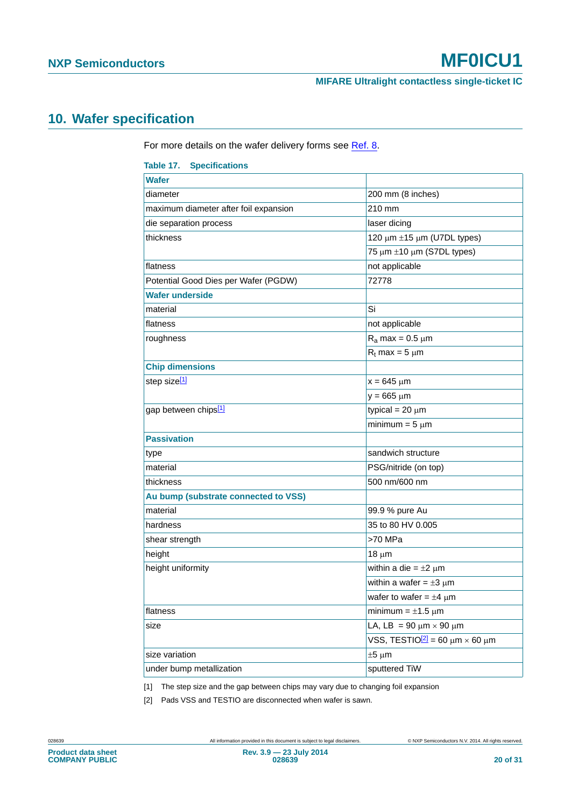# <span id="page-19-3"></span>**10. Wafer specification**

For more details on the wafer delivery forms see [Ref. 8](#page-24-3).

<span id="page-19-2"></span>

| <b>Table 17. Specifications</b>       |                                                      |
|---------------------------------------|------------------------------------------------------|
| <b>Wafer</b>                          |                                                      |
| diameter                              | 200 mm (8 inches)                                    |
| maximum diameter after foil expansion | 210 mm                                               |
| die separation process                | laser dicing                                         |
| thickness                             | 120 $\mu$ m $\pm$ 15 $\mu$ m (U7DL types)            |
|                                       | 75 $\mu$ m $\pm$ 10 $\mu$ m (S7DL types)             |
| flatness                              | not applicable                                       |
| Potential Good Dies per Wafer (PGDW)  | 72778                                                |
| <b>Wafer underside</b>                |                                                      |
| material                              | Si                                                   |
| flatness                              | not applicable                                       |
| roughness                             | $R_a$ max = 0.5 $\mu$ m                              |
|                                       | $R_t$ max = 5 $\mu$ m                                |
| <b>Chip dimensions</b>                |                                                      |
| step size <sup>[1]</sup>              | $x = 645 \mu m$                                      |
|                                       | $y = 665 \mu m$                                      |
| gap between chips <sup>[1]</sup>      | typical = $20 \mu m$                                 |
|                                       | minimum = $5 \mu m$                                  |
| <b>Passivation</b>                    |                                                      |
| type                                  | sandwich structure                                   |
| material                              | PSG/nitride (on top)                                 |
| thickness                             | 500 nm/600 nm                                        |
| Au bump (substrate connected to VSS)  |                                                      |
| material                              | 99.9 % pure Au                                       |
| hardness                              | 35 to 80 HV 0.005                                    |
| shear strength                        | >70 MPa                                              |
| height                                | $18 \mu m$                                           |
| height uniformity                     | within a die = $\pm 2 \mu m$                         |
|                                       | within a wafer = $\pm 3 \mu m$                       |
|                                       | wafer to wafer = $\pm 4 \mu m$                       |
| flatness                              | minimum = $\pm$ 1.5 µm                               |
| size                                  | LA, LB = 90 $\mu$ m $\times$ 90 $\mu$ m              |
|                                       | VSS, TESTIO <sup>[2]</sup> = 60 $\mu$ m × 60 $\mu$ m |
| size variation                        | $±5 \mu m$                                           |
| under bump metallization              | sputtered TiW                                        |

<span id="page-19-0"></span>[1] The step size and the gap between chips may vary due to changing foil expansion

<span id="page-19-1"></span>[2] Pads VSS and TESTIO are disconnected when wafer is sawn.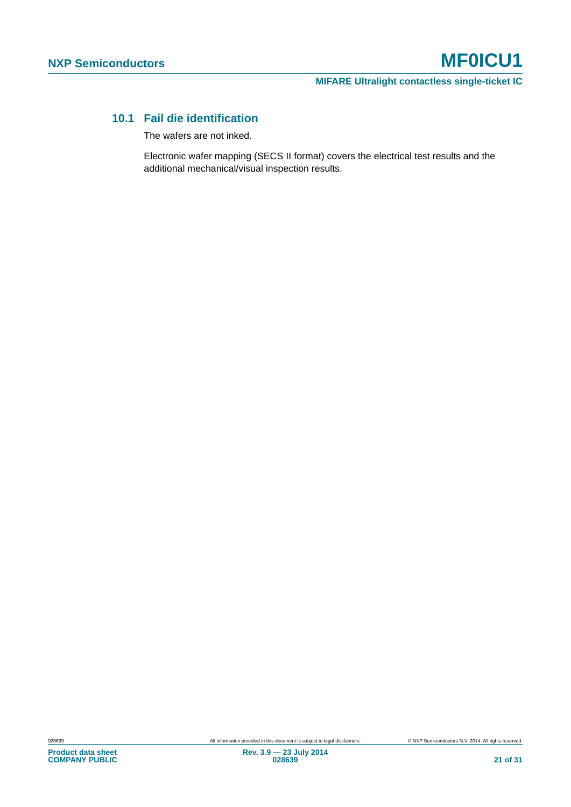**MIFARE Ultralight contactless single-ticket IC**

### <span id="page-20-0"></span>**10.1 Fail die identification**

The wafers are not inked.

Electronic wafer mapping (SECS II format) covers the electrical test results and the additional mechanical/visual inspection results.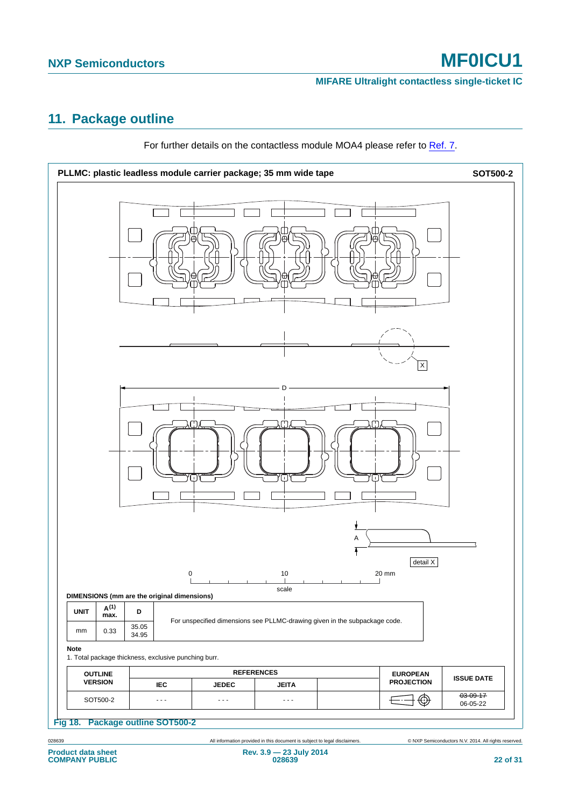# <span id="page-21-1"></span>**11. Package outline**



For further details on the contactless module MOA4 please refer to [Ref. 7](#page-24-4).

<span id="page-21-0"></span>

028639 All information provided in this document is subject to legal disclaimers. © NXP Semiconductors N.V. 2014. All rights reserved.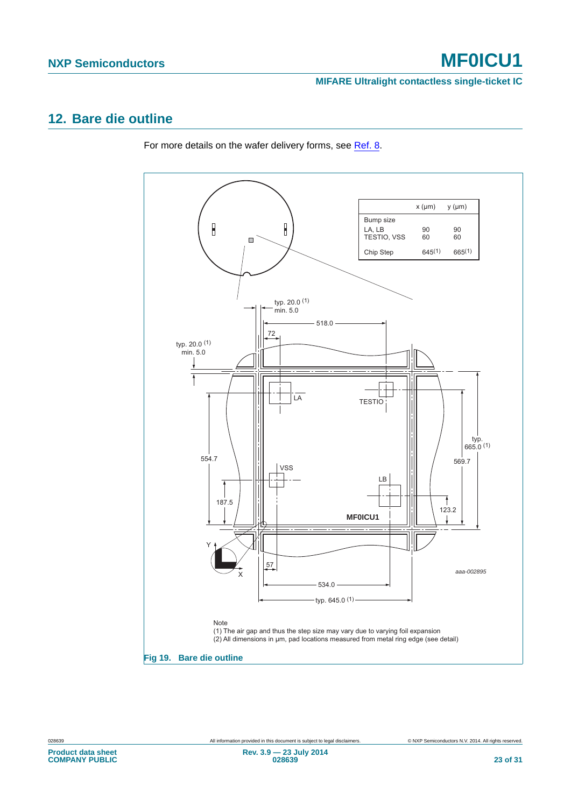# <span id="page-22-1"></span>**12. Bare die outline**

For more details on the wafer delivery forms, see [Ref. 8](#page-24-3).

<span id="page-22-0"></span>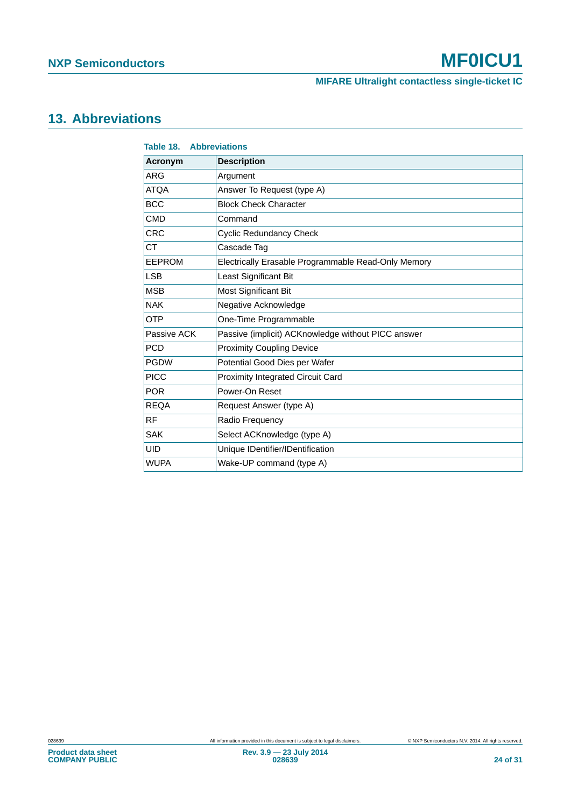**MIFARE Ultralight contactless single-ticket IC**

# <span id="page-23-1"></span>**13. Abbreviations**

<span id="page-23-0"></span>

| <b>Table 18. Abbreviations</b> |                                                     |  |
|--------------------------------|-----------------------------------------------------|--|
| Acronym                        | <b>Description</b>                                  |  |
| ARG                            | Argument                                            |  |
| <b>ATQA</b>                    | Answer To Request (type A)                          |  |
| <b>BCC</b>                     | <b>Block Check Character</b>                        |  |
| <b>CMD</b>                     | Command                                             |  |
| <b>CRC</b>                     | <b>Cyclic Redundancy Check</b>                      |  |
| CT                             | Cascade Tag                                         |  |
| <b>EEPROM</b>                  | Electrically Erasable Programmable Read-Only Memory |  |
| <b>LSB</b>                     | Least Significant Bit                               |  |
| <b>MSB</b>                     | Most Significant Bit                                |  |
| <b>NAK</b>                     | Negative Acknowledge                                |  |
| <b>OTP</b>                     | One-Time Programmable                               |  |
| Passive ACK                    | Passive (implicit) ACKnowledge without PICC answer  |  |
| <b>PCD</b>                     | <b>Proximity Coupling Device</b>                    |  |
| <b>PGDW</b>                    | Potential Good Dies per Wafer                       |  |
| <b>PICC</b>                    | Proximity Integrated Circuit Card                   |  |
| <b>POR</b>                     | Power-On Reset                                      |  |
| <b>REQA</b>                    | Request Answer (type A)                             |  |
| <b>RF</b>                      | Radio Frequency                                     |  |
| <b>SAK</b>                     | Select ACKnowledge (type A)                         |  |
| <b>UID</b>                     | Unique IDentifier/IDentification                    |  |
| <b>WUPA</b>                    | Wake-UP command (type A)                            |  |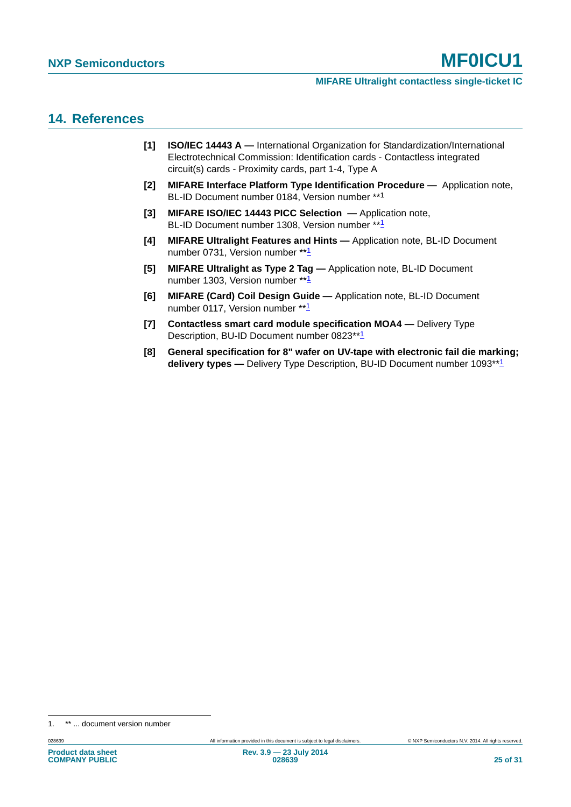### <span id="page-24-6"></span>**14. References**

- <span id="page-24-0"></span>**[1] ISO/IEC 14443 A —** International Organization for Standardization/International Electrotechnical Commission: Identification cards - Contactless integrated circuit(s) cards - Proximity cards, part 1-4, Type A
- <span id="page-24-5"></span>**[2] MIFARE Interface Platform Type Identification Procedure —** Application note, BL-ID Document number 0184, Version number \*\*<sup>1</sup>
- <span id="page-24-2"></span>**[3] MIFARE ISO/IEC 14443 PICC Selection —** Application note, BL-ID Document number [1](#page-24-5)308, Version number \*\*<sup>1</sup>
- **[4] MIFARE Ultralight Features and Hints** Application note, BL-ID Document number 0731, Version number \*\*[1](#page-24-5)
- **[5] MIFARE Ultralight as Type 2 Tag** Application note, BL-ID Document number [1](#page-24-5)303, Version number \*\*<sup>1</sup>
- <span id="page-24-1"></span>**[6] MIFARE (Card) Coil Design Guide —** Application note, BL-ID Document number 0[1](#page-24-5)17, Version number \*\*<sup>1</sup>
- <span id="page-24-4"></span>**[7] Contactless smart card module specification MOA4 —** Delivery Type Description, BU-ID Document number 0823\*\*[1](#page-24-5)
- <span id="page-24-3"></span>**[8] General specification for 8" wafer on UV-tape with electronic fail die marking; delivery types —** Delivery Type Description, BU-ID Document number [1](#page-24-5)093<sup>\*\*1</sup>

<sup>1. \*\* ...</sup> document version number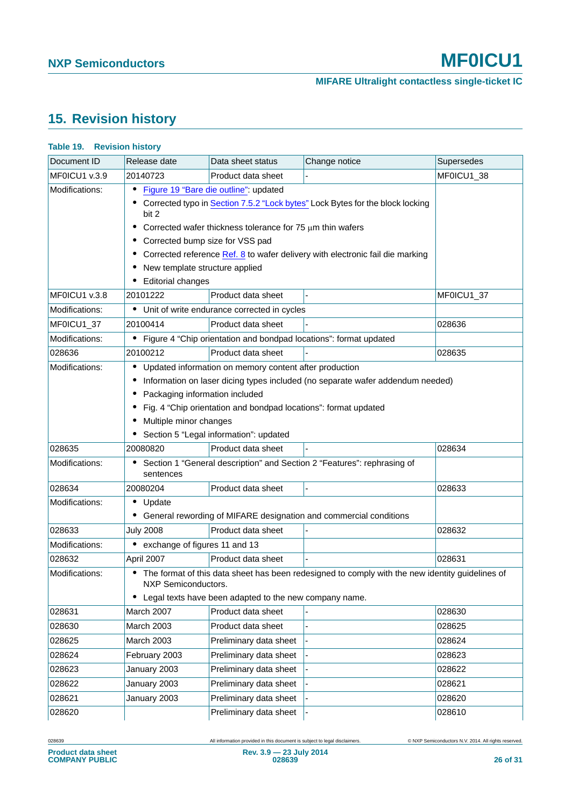# <span id="page-25-1"></span>**15. Revision history**

| Document ID    | Release date                                                                                  | Data sheet status                                                                                                                                                   | Change notice                                                                                     | Supersedes |
|----------------|-----------------------------------------------------------------------------------------------|---------------------------------------------------------------------------------------------------------------------------------------------------------------------|---------------------------------------------------------------------------------------------------|------------|
| MFOICU1 v.3.9  | 20140723                                                                                      | Product data sheet                                                                                                                                                  |                                                                                                   | MF0ICU1_38 |
| Modifications: | $\bullet$<br>bit 2                                                                            | Figure 19 "Bare die outline": updated<br>Corrected wafer thickness tolerance for 75 $\mu$ m thin wafers                                                             | Corrected typo in Section 7.5.2 "Lock bytes" Lock Bytes for the block locking                     |            |
|                | Corrected bump size for VSS pad<br>New template structure applied<br><b>Editorial changes</b> |                                                                                                                                                                     | Corrected reference Ref. 8 to wafer delivery with electronic fail die marking                     |            |
| MF0ICU1 v.3.8  | 20101222                                                                                      | Product data sheet                                                                                                                                                  |                                                                                                   | MF0ICU1_37 |
| Modifications: |                                                                                               | • Unit of write endurance corrected in cycles                                                                                                                       |                                                                                                   |            |
| MF0ICU1_37     | 20100414                                                                                      | Product data sheet                                                                                                                                                  |                                                                                                   | 028636     |
| Modifications: | $\bullet$                                                                                     | Figure 4 "Chip orientation and bondpad locations": format updated                                                                                                   |                                                                                                   |            |
| 028636         | 20100212                                                                                      | Product data sheet                                                                                                                                                  |                                                                                                   | 028635     |
| Modifications: | $\bullet$<br>Packaging information included<br>Multiple minor changes                         | Updated information on memory content after production<br>Fig. 4 "Chip orientation and bondpad locations": format updated<br>Section 5 "Legal information": updated | Information on laser dicing types included (no separate wafer addendum needed)                    |            |
| 028635         | 20080820                                                                                      | Product data sheet                                                                                                                                                  |                                                                                                   | 028634     |
| Modifications: | sentences                                                                                     |                                                                                                                                                                     | Section 1 "General description" and Section 2 "Features": rephrasing of                           |            |
| 028634         | 20080204                                                                                      | Product data sheet                                                                                                                                                  |                                                                                                   | 028633     |
| Modifications: | $\bullet$<br>Update                                                                           |                                                                                                                                                                     | General rewording of MIFARE designation and commercial conditions                                 |            |
| 028633         | <b>July 2008</b>                                                                              | Product data sheet                                                                                                                                                  |                                                                                                   | 028632     |
| Modifications: | exchange of figures 11 and 13<br>$\bullet$                                                    |                                                                                                                                                                     |                                                                                                   |            |
| 028632         | April 2007                                                                                    | Product data sheet                                                                                                                                                  |                                                                                                   | 028631     |
| Modifications: | NXP Semiconductors.                                                                           | Legal texts have been adapted to the new company name.                                                                                                              | • The format of this data sheet has been redesigned to comply with the new identity guidelines of |            |
| 028631         | March 2007                                                                                    | Product data sheet                                                                                                                                                  |                                                                                                   | 028630     |
| 028630         | <b>March 2003</b>                                                                             | Product data sheet                                                                                                                                                  |                                                                                                   | 028625     |
| 028625         | <b>March 2003</b>                                                                             | Preliminary data sheet                                                                                                                                              |                                                                                                   | 028624     |
| 028624         | February 2003                                                                                 | Preliminary data sheet                                                                                                                                              |                                                                                                   | 028623     |
| 028623         | January 2003                                                                                  | Preliminary data sheet                                                                                                                                              |                                                                                                   | 028622     |
| 028622         | January 2003                                                                                  | Preliminary data sheet                                                                                                                                              |                                                                                                   | 028621     |
| 028621         | January 2003                                                                                  | Preliminary data sheet                                                                                                                                              |                                                                                                   | 028620     |
| 028620         |                                                                                               | Preliminary data sheet                                                                                                                                              |                                                                                                   | 028610     |

#### <span id="page-25-0"></span>**Table 19. Revision history**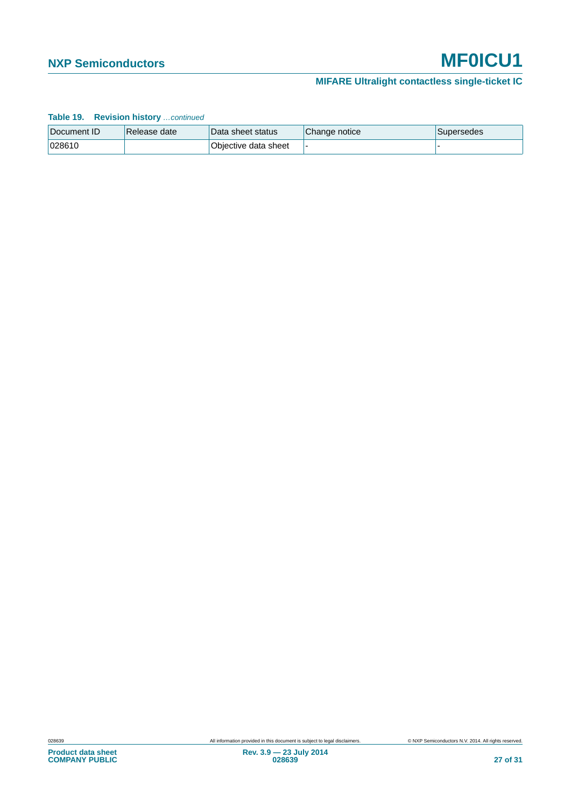### **MIFARE Ultralight contactless single-ticket IC**

| <b>Table 19. Revision history</b> continued |              |                      |               |                   |
|---------------------------------------------|--------------|----------------------|---------------|-------------------|
| Document ID                                 | Release date | Data sheet status    | Change notice | <b>Supersedes</b> |
| 028610                                      |              | Objective data sheet |               |                   |

#### **Table 19. Revision history** *…continued*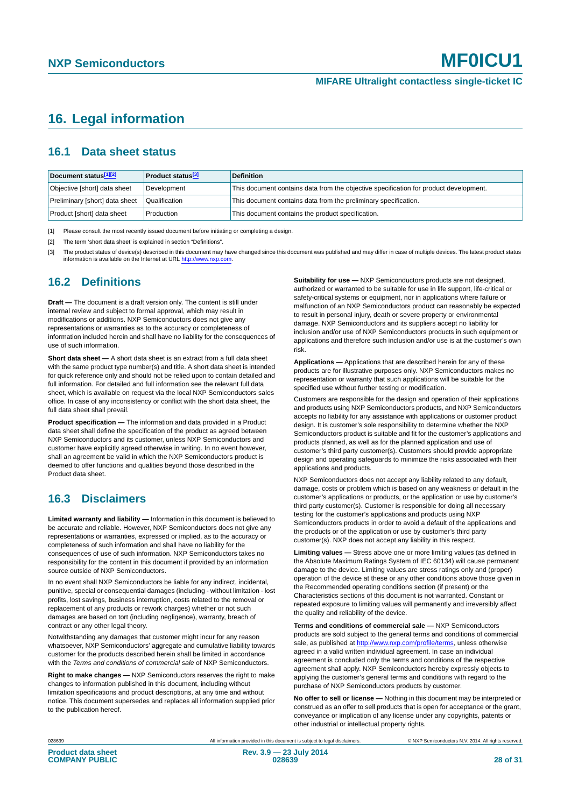# <span id="page-27-3"></span>**16. Legal information**

#### <span id="page-27-4"></span>**16.1 Data sheet status**

| Document status[1][2]          | <b>Product status</b> <sup>[3]</sup> | <b>Definition</b>                                                                     |
|--------------------------------|--------------------------------------|---------------------------------------------------------------------------------------|
| Objective [short] data sheet   | Development                          | This document contains data from the objective specification for product development. |
| Preliminary [short] data sheet | Qualification                        | This document contains data from the preliminary specification.                       |
| Product [short] data sheet     | Production                           | This document contains the product specification.                                     |

<span id="page-27-0"></span>[1] Please consult the most recently issued document before initiating or completing a design.

<span id="page-27-1"></span>[2] The term 'short data sheet' is explained in section "Definitions".

<span id="page-27-2"></span>[3] The product status of device(s) described in this document may have changed since this document was published and may differ in case of multiple devices. The latest product status<br>information is available on the Intern

#### <span id="page-27-5"></span>**16.2 Definitions**

**Draft —** The document is a draft version only. The content is still under internal review and subject to formal approval, which may result in modifications or additions. NXP Semiconductors does not give any representations or warranties as to the accuracy or completeness of information included herein and shall have no liability for the consequences of use of such information.

**Short data sheet —** A short data sheet is an extract from a full data sheet with the same product type number(s) and title. A short data sheet is intended for quick reference only and should not be relied upon to contain detailed and full information. For detailed and full information see the relevant full data sheet, which is available on request via the local NXP Semiconductors sales office. In case of any inconsistency or conflict with the short data sheet, the full data sheet shall prevail.

**Product specification —** The information and data provided in a Product data sheet shall define the specification of the product as agreed between NXP Semiconductors and its customer, unless NXP Semiconductors and customer have explicitly agreed otherwise in writing. In no event however, shall an agreement be valid in which the NXP Semiconductors product is deemed to offer functions and qualities beyond those described in the Product data sheet.

#### <span id="page-27-6"></span>**16.3 Disclaimers**

**Limited warranty and liability —** Information in this document is believed to be accurate and reliable. However, NXP Semiconductors does not give any representations or warranties, expressed or implied, as to the accuracy or completeness of such information and shall have no liability for the consequences of use of such information. NXP Semiconductors takes no responsibility for the content in this document if provided by an information source outside of NXP Semiconductors.

In no event shall NXP Semiconductors be liable for any indirect, incidental, punitive, special or consequential damages (including - without limitation - lost profits, lost savings, business interruption, costs related to the removal or replacement of any products or rework charges) whether or not such damages are based on tort (including negligence), warranty, breach of contract or any other legal theory.

Notwithstanding any damages that customer might incur for any reason whatsoever, NXP Semiconductors' aggregate and cumulative liability towards customer for the products described herein shall be limited in accordance with the *Terms and conditions of commercial sale* of NXP Semiconductors.

**Right to make changes —** NXP Semiconductors reserves the right to make changes to information published in this document, including without limitation specifications and product descriptions, at any time and without notice. This document supersedes and replaces all information supplied prior to the publication hereof.

**Suitability for use —** NXP Semiconductors products are not designed, authorized or warranted to be suitable for use in life support, life-critical or safety-critical systems or equipment, nor in applications where failure or malfunction of an NXP Semiconductors product can reasonably be expected to result in personal injury, death or severe property or environmental damage. NXP Semiconductors and its suppliers accept no liability for inclusion and/or use of NXP Semiconductors products in such equipment or applications and therefore such inclusion and/or use is at the customer's own risk.

**Applications —** Applications that are described herein for any of these products are for illustrative purposes only. NXP Semiconductors makes no representation or warranty that such applications will be suitable for the specified use without further testing or modification.

Customers are responsible for the design and operation of their applications and products using NXP Semiconductors products, and NXP Semiconductors accepts no liability for any assistance with applications or customer product design. It is customer's sole responsibility to determine whether the NXP Semiconductors product is suitable and fit for the customer's applications and products planned, as well as for the planned application and use of customer's third party customer(s). Customers should provide appropriate design and operating safeguards to minimize the risks associated with their applications and products.

NXP Semiconductors does not accept any liability related to any default, damage, costs or problem which is based on any weakness or default in the customer's applications or products, or the application or use by customer's third party customer(s). Customer is responsible for doing all necessary testing for the customer's applications and products using NXP Semiconductors products in order to avoid a default of the applications and the products or of the application or use by customer's third party customer(s). NXP does not accept any liability in this respect.

**Limiting values —** Stress above one or more limiting values (as defined in the Absolute Maximum Ratings System of IEC 60134) will cause permanent damage to the device. Limiting values are stress ratings only and (proper) operation of the device at these or any other conditions above those given in the Recommended operating conditions section (if present) or the Characteristics sections of this document is not warranted. Constant or repeated exposure to limiting values will permanently and irreversibly affect the quality and reliability of the device.

**Terms and conditions of commercial sale —** NXP Semiconductors products are sold subject to the general terms and conditions of commercial sale, as published at<http://www.nxp.com/profile/terms>, unless otherwise agreed in a valid written individual agreement. In case an individual agreement is concluded only the terms and conditions of the respective agreement shall apply. NXP Semiconductors hereby expressly objects to applying the customer's general terms and conditions with regard to the purchase of NXP Semiconductors products by customer.

**No offer to sell or license —** Nothing in this document may be interpreted or construed as an offer to sell products that is open for acceptance or the grant, conveyance or implication of any license under any copyrights, patents or other industrial or intellectual property rights.

028639 All information provided in this document is subject to legal disclaimers. © NXP Semiconductors N.V. 2014. All rights reserved.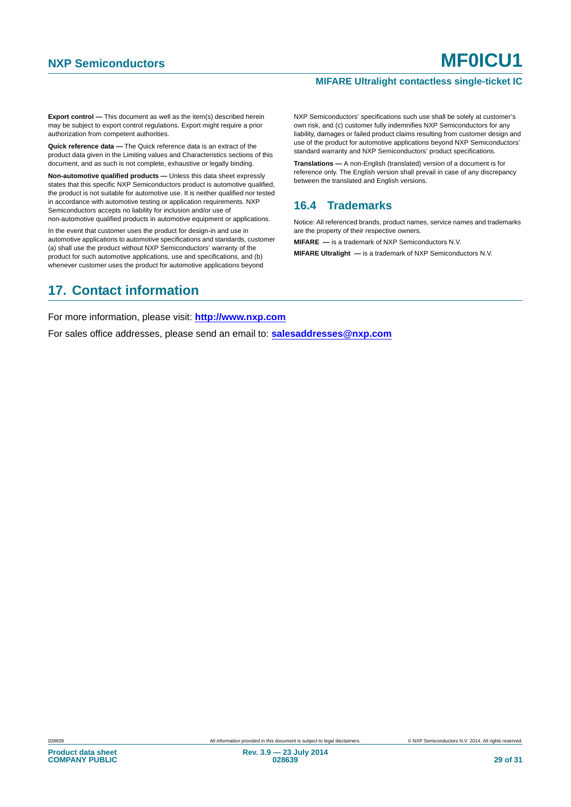**Export control —** This document as well as the item(s) described herein may be subject to export control regulations. Export might require a prior authorization from competent authorities.

**Quick reference data —** The Quick reference data is an extract of the product data given in the Limiting values and Characteristics sections of this document, and as such is not complete, exhaustive or legally binding.

**Non-automotive qualified products —** Unless this data sheet expressly states that this specific NXP Semiconductors product is automotive qualified, the product is not suitable for automotive use. It is neither qualified nor tested in accordance with automotive testing or application requirements. NXP Semiconductors accepts no liability for inclusion and/or use of non-automotive qualified products in automotive equipment or applications.

In the event that customer uses the product for design-in and use in automotive applications to automotive specifications and standards, customer (a) shall use the product without NXP Semiconductors' warranty of the product for such automotive applications, use and specifications, and (b) whenever customer uses the product for automotive applications beyond

# <span id="page-28-1"></span>**17. Contact information**

NXP Semiconductors' specifications such use shall be solely at customer's own risk, and (c) customer fully indemnifies NXP Semiconductors for any liability, damages or failed product claims resulting from customer design and use of the product for automotive applications beyond NXP Semiconductors' standard warranty and NXP Semiconductors' product specifications.

**Translations —** A non-English (translated) version of a document is for reference only. The English version shall prevail in case of any discrepancy between the translated and English versions.

#### <span id="page-28-0"></span>**16.4 Trademarks**

Notice: All referenced brands, product names, service names and trademarks are the property of their respective owners.

**MIFARE —** is a trademark of NXP Semiconductors N.V.

**MIFARE Ultralight —** is a trademark of NXP Semiconductors N.V.

For more information, please visit: **http://www.nxp.com**

For sales office addresses, please send an email to: **salesaddresses@nxp.com**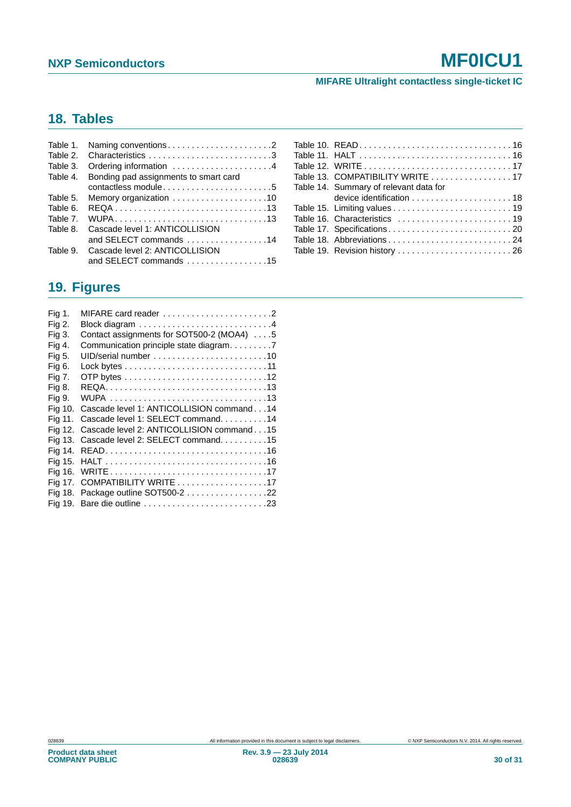**MIFARE Ultralight contactless single-ticket IC**

# <span id="page-29-0"></span>**18. Tables**

| Table 1. |                                       |
|----------|---------------------------------------|
| Table 2. | Characteristics 3                     |
| Table 3. | Ordering information 4                |
| Table 4. | Bonding pad assignments to smart card |
|          | contactless module5                   |
| Table 5. |                                       |
| Table 6. |                                       |
| Table 7. |                                       |
| Table 8. | Cascade level 1: ANTICOLLISION        |
|          | and SELECT commands 14                |
| Table 9. | Cascade level 2: ANTICOLLISION        |
|          | and SELECT commands 15                |

| Table 13. COMPATIBILITY WRITE 17       |
|----------------------------------------|
| Table 14. Summary of relevant data for |
|                                        |
|                                        |
|                                        |
|                                        |
| Table 18. Abbreviations 24             |
| Table 19. Revision history  26         |

# <span id="page-29-1"></span>**19. Figures**

| Fig 1.  |                                                                         |
|---------|-------------------------------------------------------------------------|
| Fig 2.  |                                                                         |
| Fig 3.  | Contact assignments for SOT500-2 (MOA4) 5                               |
| Fig 4.  | Communication principle state diagram. 7                                |
| Fig 5.  |                                                                         |
| Fig 6.  |                                                                         |
| Fig 7.  |                                                                         |
| Fig 8.  |                                                                         |
| Fig 9.  |                                                                         |
| Fig 10. | Cascade level 1: ANTICOLLISION command14                                |
| Fia 11. | Cascade level 1: SELECT command. 14                                     |
| Fig 12. | Cascade level 2: ANTICOLLISION command15                                |
|         | Fig 13. Cascade level 2: SELECT command15                               |
| Fia 14. |                                                                         |
|         |                                                                         |
|         |                                                                         |
|         | Fig 17. COMPATIBILITY WRITE $\ldots \ldots \ldots \ldots \ldots \ldots$ |
|         | Fig 18. Package outline SOT500-2 22                                     |
|         | Fig 19. Bare die outline 23                                             |